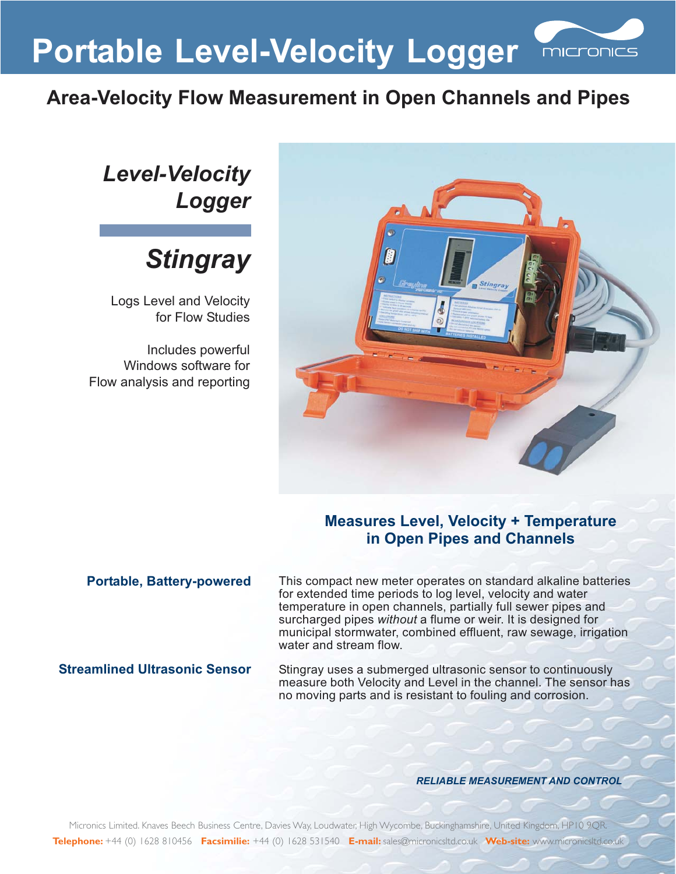**Portable Level-Velocity Logger**

## **Area-Velocity Flow Measurement in Open Channels and Pipes**



micronics

## *Level-Velocity Logger*

## *Stingray*

Logs Level and Velocity for Flow Studies

Includes powerful Windows software for Flow analysis and reporting

### **Measures Level, Velocity + Temperature in Open Pipes and Channels**

#### **Portable, Battery-powered**

This compact new meter operates on standard alkaline batteries for extended time periods to log level, velocity and water temperature in open channels, partially full sewer pipes and surcharged pipes without a flume or weir. It is designed for municipal stormwater, combined effluent, raw sewage, irrigation water and stream flow.

#### **Streamlined Ultrasonic Sensor**

Stingray uses a submerged ultrasonic sensor to continuously measure both Velocity and Level in the channel. The sensor has no moving parts and is resistant to fouling and corrosion.

#### *RELIABLE MEASUREMENT AND CONTROL*

Micronics Limited. Knaves Beech Business Centre, Davies Way, Loudwater, High Wycombe, Buckinghamshire, United Kingdom, HP10 9QR. **Telephone:** +44 (0) 1628 810456 **Facsimilie:** +44 (0) 1628 531540 **E-mail:** sales@micronicsltd.co.uk **Web-site:** www.micronicsltd.co.uk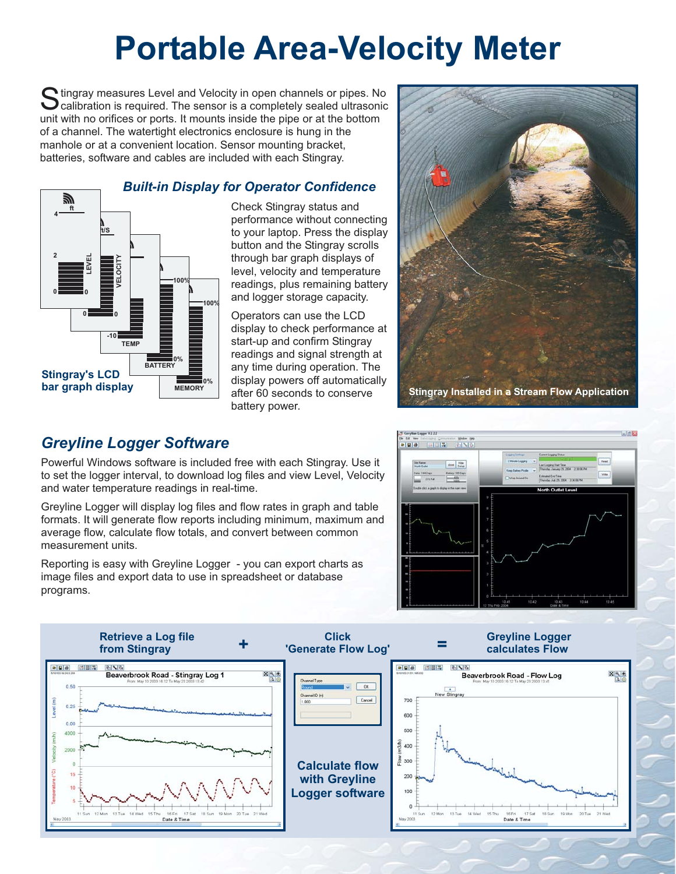## **Portable Area-Velocity Meter**

Stingray measures Level and Velocity in open channels or pipes. No<br>Calibration is required. The sensor is a completely sealed ultrasonic unit with no orifices or ports. It mounts inside the pipe or at the bottom of a channel. The watertight electronics enclosure is hung in the manhole or at a convenient location. Sensor mounting bracket, batteries, software and cables are included with each Stingray.

#### **MEMORY 0% 100% BATTERY 0% 100% -10 °C 0 +30 TEMP VELOCITY 0 0 ft/S LEVEL 0 0 ft 2 4 Stingray's LCD bar graph display** *Built-in Display for Operator Confidence*

#### Check Stingray status and performance without connecting to your laptop. Press the display button and the Stingray scrolls through bar graph displays of level, velocity and temperature readings, plus remaining battery and logger storage capacity.

Operators can use the LCD display to check performance at start-up and confirm Stingray readings and signal strength at any time during operation. The display powers off automatically after 60 seconds to conserve battery power.



## *Greyline Logger Software*

Powerful Windows software is included free with each Stingray. Use it to set the logger interval, to download log files and view Level, Velocity and water temperature readings in real-time.

Greyline Logger will display log files and flow rates in graph and table formats. It will generate flow reports including minimum, maximum and average flow, calculate flow totals, and convert between common measurement units.

Reporting is easy with Greyline Logger - you can export charts as image files and export data to use in spreadsheet or database programs.



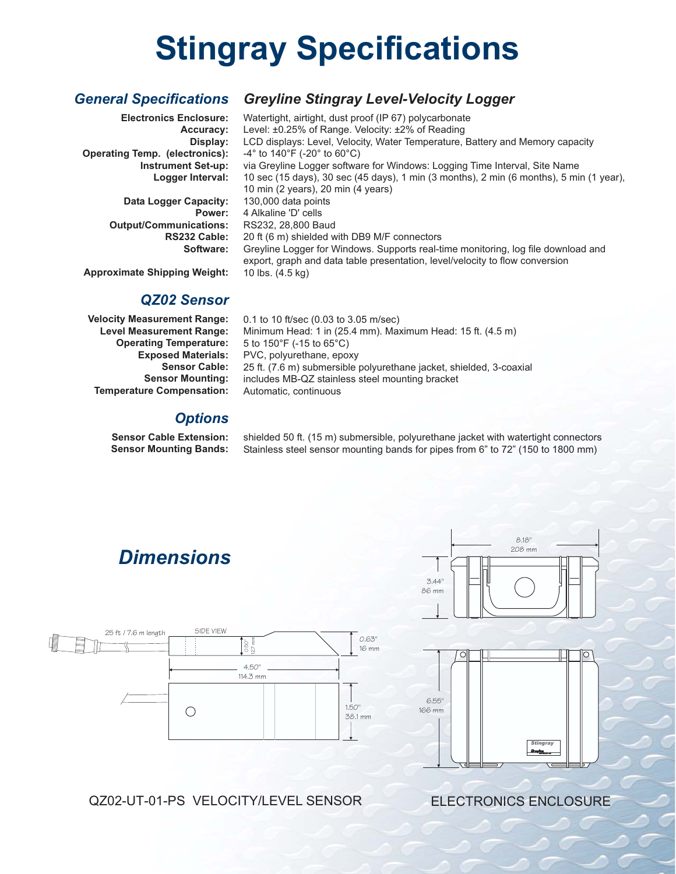# **Stingray Specifications**

#### *General Specifications Greyline Stingray Level-Velocity Logger*

**Electronics Enclosure: Accuracy: Display: Operating Temp. (electronics): Instrument Set-up: Logger Interval: Data Logger Capacity: Power: Output/Communications: RS232 Cable: Software: Approximate Shipping Weight:** -4° to 140°F (-20° to 60°C) Watertight, airtight, dust proof (IP 67) polycarbonate Level: ±0.25% of Range. Velocity: ±2% of Reading LCD displays: Level, Velocity, Water Temperature, Battery and Memory capacity via Greyline Logger software for Windows: Logging Time Interval, Site Name 10 sec (15 days), 30 sec (45 days), 1 min (3 months), 2 min (6 months), 5 min (1 year), 10 min (2 years), 20 min (4 years) 130,000 data points 4 Alkaline 'D' cells RS232, 28,800 Baud 20 ft (6 m) shielded with DB9 M/F connectors Greyline Logger for Windows. Supports real-time monitoring, log file download and export, graph and data table presentation, level/velocity to flow conversion 10 lbs. (4.5 kg)

#### *QZ02 Sensor*

**Velocity Measurement Range: Level Measurement Range: Operating Temperature: Exposed Materials: Sensor Cable: Sensor Mounting: Temperature Compensation:**

0.1 to 10 ft/sec (0.03 to 3.05 m/sec) Minimum Head: 1 in (25.4 mm). Maximum Head: 15 ft. (4.5 m) 5 to 150°F (-15 to 65°C) PVC, polyurethane, epoxy 25 ft. (7.6 m) submersible polyurethane jacket, shielded, 3-coaxial includes MB-QZ stainless steel mounting bracket Automatic, continuous

### *Options*

**Sensor Cable Extension: Sensor Mounting Bands:** shielded 50 ft. (15 m) submersible, polyurethane jacket with watertight connectors Stainless steel sensor mounting bands for pipes from 6" to 72" (150 to 1800 mm)

## *Dimensions*





208 mm

 $818'$ 



### QZ02-UT-01-PS VELOCITY/LEVEL SENSOR

ELECTRONICS ENCLOSURE